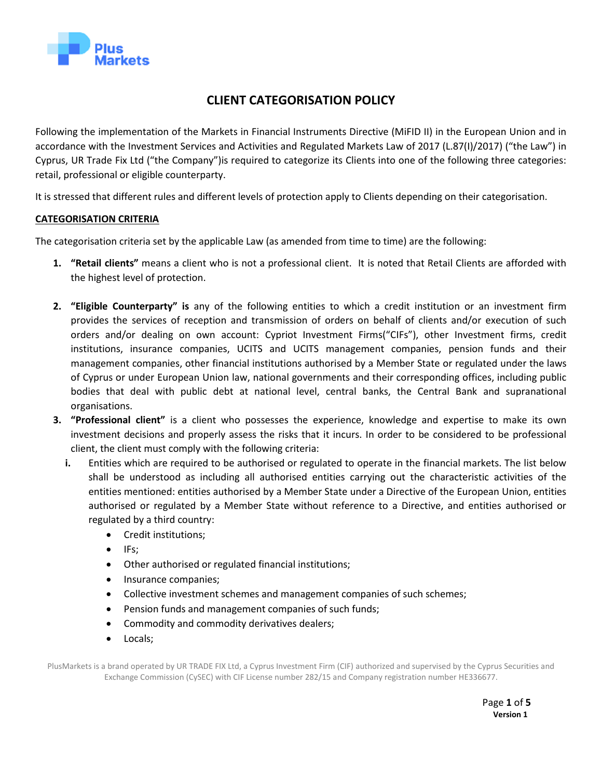

# **CLIENT CATEGORISATION POLICY**

Following the implementation of the Markets in Financial Instruments Directive (MiFID II) in the European Union and in accordance with the Investment Services and Activities and Regulated Markets Law of 2017 (L.87(I)/2017) ("the Law") in Cyprus, UR Trade Fix Ltd ("the Company")is required to categorize its Clients into one of the following three categories: retail, professional or eligible counterparty.

It is stressed that different rules and different levels of protection apply to Clients depending on their categorisation.

# **CATEGORISATION CRITERIA**

The categorisation criteria set by the applicable Law (as amended from time to time) are the following:

- **1. "Retail clients"** means a client who is not a professional client. It is noted that Retail Clients are afforded with the highest level of protection.
- **2. "Eligible Counterparty" is** any of the following entities to which a credit institution or an investment firm provides the services of reception and transmission of orders on behalf of clients and/or execution of such orders and/or dealing on own account: Cypriot Investment Firms("CIFs"), other Investment firms, credit institutions, insurance companies, UCITS and UCITS management companies, pension funds and their management companies, other financial institutions authorised by a Member State or regulated under the laws of Cyprus or under European Union law, national governments and their corresponding offices, including public bodies that deal with public debt at national level, central banks, the Central Bank and supranational organisations.
- **3. "Professional client"** is a client who possesses the experience, knowledge and expertise to make its own investment decisions and properly assess the risks that it incurs. In order to be considered to be professional client, the client must comply with the following criteria:
	- **i.** Entities which are required to be authorised or regulated to operate in the financial markets. The list below shall be understood as including all authorised entities carrying out the characteristic activities of the entities mentioned: entities authorised by a Member State under a Directive of the European Union, entities authorised or regulated by a Member State without reference to a Directive, and entities authorised or regulated by a third country:
		- Credit institutions;
		- IFs;
		- Other authorised or regulated financial institutions;
		- Insurance companies;
		- Collective investment schemes and management companies of such schemes;
		- Pension funds and management companies of such funds;
		- Commodity and commodity derivatives dealers;
		- Locals;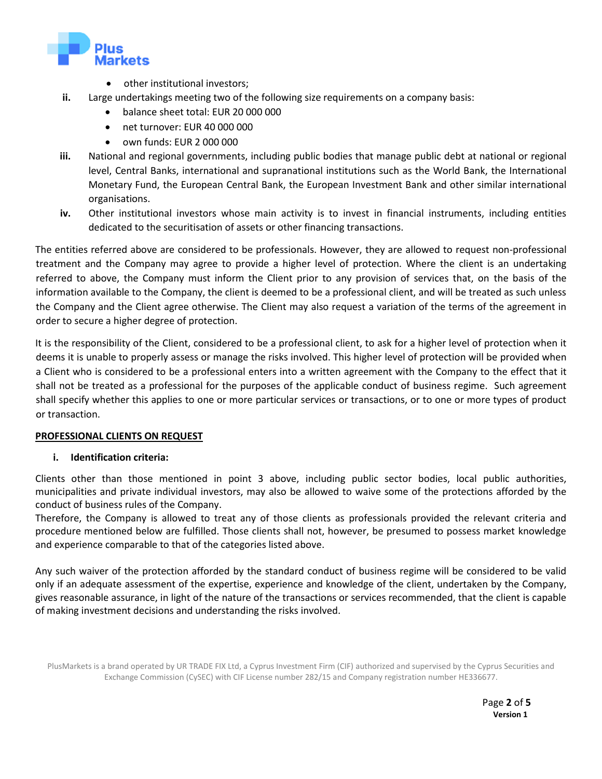

- other institutional investors;
- **ii.** Large undertakings meeting two of the following size requirements on a company basis:
	- balance sheet total: EUR 20 000 000
	- net turnover: EUR 40 000 000
	- own funds: EUR 2 000 000
- **iii.** National and regional governments, including public bodies that manage public debt at national or regional level, Central Banks, international and supranational institutions such as the World Bank, the International Monetary Fund, the European Central Bank, the European Investment Bank and other similar international organisations.
- **iv.** Other institutional investors whose main activity is to invest in financial instruments, including entities dedicated to the securitisation of assets or other financing transactions.

The entities referred above are considered to be professionals. However, they are allowed to request non-professional treatment and the Company may agree to provide a higher level of protection. Where the client is an undertaking referred to above, the Company must inform the Client prior to any provision of services that, on the basis of the information available to the Company, the client is deemed to be a professional client, and will be treated as such unless the Company and the Client agree otherwise. The Client may also request a variation of the terms of the agreement in order to secure a higher degree of protection.

It is the responsibility of the Client, considered to be a professional client, to ask for a higher level of protection when it deems it is unable to properly assess or manage the risks involved. This higher level of protection will be provided when a Client who is considered to be a professional enters into a written agreement with the Company to the effect that it shall not be treated as a professional for the purposes of the applicable conduct of business regime. Such agreement shall specify whether this applies to one or more particular services or transactions, or to one or more types of product or transaction.

# **PROFESSIONAL CLIENTS ON REQUEST**

# **i. Identification criteria:**

Clients other than those mentioned in point 3 above, including public sector bodies, local public authorities, municipalities and private individual investors, may also be allowed to waive some of the protections afforded by the conduct of business rules of the Company.

Therefore, the Company is allowed to treat any of those clients as professionals provided the relevant criteria and procedure mentioned below are fulfilled. Those clients shall not, however, be presumed to possess market knowledge and experience comparable to that of the categories listed above.

Any such waiver of the protection afforded by the standard conduct of business regime will be considered to be valid only if an adequate assessment of the expertise, experience and knowledge of the client, undertaken by the Company, gives reasonable assurance, in light of the nature of the transactions or services recommended, that the client is capable of making investment decisions and understanding the risks involved.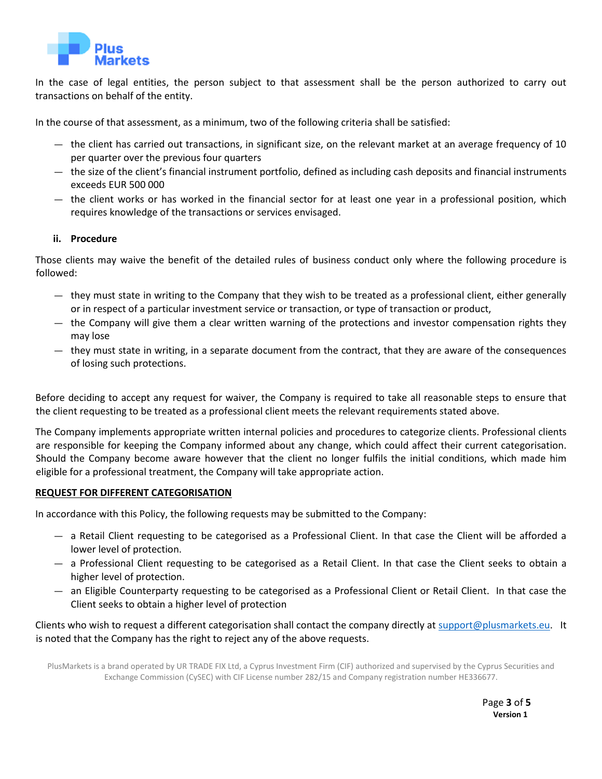

In the case of legal entities, the person subject to that assessment shall be the person authorized to carry out transactions on behalf of the entity.

In the course of that assessment, as a minimum, two of the following criteria shall be satisfied:

- the client has carried out transactions, in significant size, on the relevant market at an average frequency of 10 per quarter over the previous four quarters
- the size of the client's financial instrument portfolio, defined as including cash deposits and financial instruments exceeds EUR 500 000
- the client works or has worked in the financial sector for at least one year in a professional position, which requires knowledge of the transactions or services envisaged.

## **ii. Procedure**

Those clients may waive the benefit of the detailed rules of business conduct only where the following procedure is followed:

- they must state in writing to the Company that they wish to be treated as a professional client, either generally or in respect of a particular investment service or transaction, or type of transaction or product,
- the Company will give them a clear written warning of the protections and investor compensation rights they may lose
- they must state in writing, in a separate document from the contract, that they are aware of the consequences of losing such protections.

Before deciding to accept any request for waiver, the Company is required to take all reasonable steps to ensure that the client requesting to be treated as a professional client meets the relevant requirements stated above.

The Company implements appropriate written internal policies and procedures to categorize clients. Professional clients are responsible for keeping the Company informed about any change, which could affect their current categorisation. Should the Company become aware however that the client no longer fulfils the initial conditions, which made him eligible for a professional treatment, the Company will take appropriate action.

#### **REQUEST FOR DIFFERENT CATEGORISATION**

In accordance with this Policy, the following requests may be submitted to the Company:

- a Retail Client requesting to be categorised as a Professional Client. In that case the Client will be afforded a lower level of protection.
- a Professional Client requesting to be categorised as a Retail Client. In that case the Client seeks to obtain a higher level of protection.
- an Eligible Counterparty requesting to be categorised as a Professional Client or Retail Client. In that case the Client seeks to obtain a higher level of protection

Clients who wish to request a different categorisation shall contact the company directly at [support@plusmarkets.eu.](mailto:support@plusmarkets.eu) It is noted that the Company has the right to reject any of the above requests.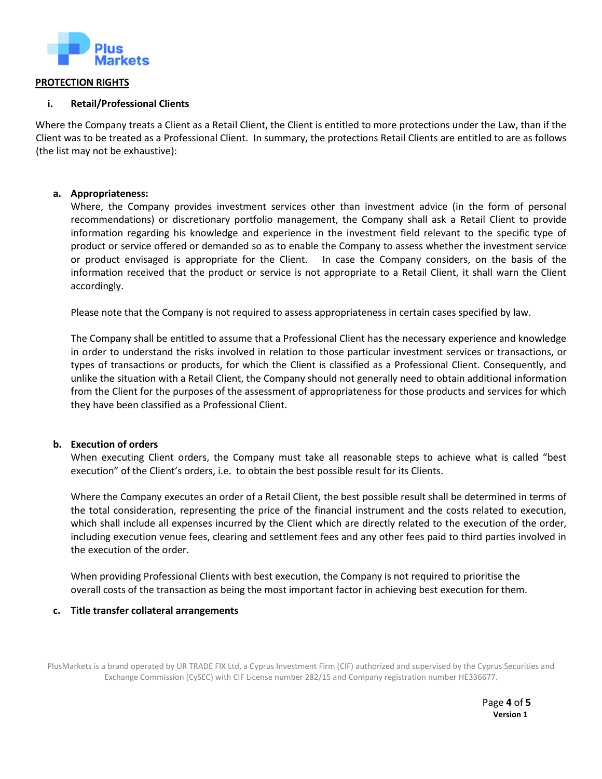

#### **PROTECTION RIGHTS**

## **i. Retail/Professional Clients**

Where the Company treats a Client as a Retail Client, the Client is entitled to more protections under the Law, than if the Client was to be treated as a Professional Client. In summary, the protections Retail Clients are entitled to are as follows (the list may not be exhaustive):

## **a. Appropriateness:**

Where, the Company provides investment services other than investment advice (in the form of personal recommendations) or discretionary portfolio management, the Company shall ask a Retail Client to provide information regarding his knowledge and experience in the investment field relevant to the specific type of product or service offered or demanded so as to enable the Company to assess whether the investment service or product envisaged is appropriate for the Client. In case the Company considers, on the basis of the information received that the product or service is not appropriate to a Retail Client, it shall warn the Client accordingly.

Please note that the Company is not required to assess appropriateness in certain cases specified by law.

The Company shall be entitled to assume that a Professional Client has the necessary experience and knowledge in order to understand the risks involved in relation to those particular investment services or transactions, or types of transactions or products, for which the Client is classified as a Professional Client. Consequently, and unlike the situation with a Retail Client, the Company should not generally need to obtain additional information from the Client for the purposes of the assessment of appropriateness for those products and services for which they have been classified as a Professional Client.

#### **b. Execution of orders**

When executing Client orders, the Company must take all reasonable steps to achieve what is called "best execution" of the Client's orders, i.e. to obtain the best possible result for its Clients.

Where the Company executes an order of a Retail Client, the best possible result shall be determined in terms of the total consideration, representing the price of the financial instrument and the costs related to execution, which shall include all expenses incurred by the Client which are directly related to the execution of the order, including execution venue fees, clearing and settlement fees and any other fees paid to third parties involved in the execution of the order.

When providing Professional Clients with best execution, the Company is not required to prioritise the overall costs of the transaction as being the most important factor in achieving best execution for them.

#### **c. Title transfer collateral arrangements**